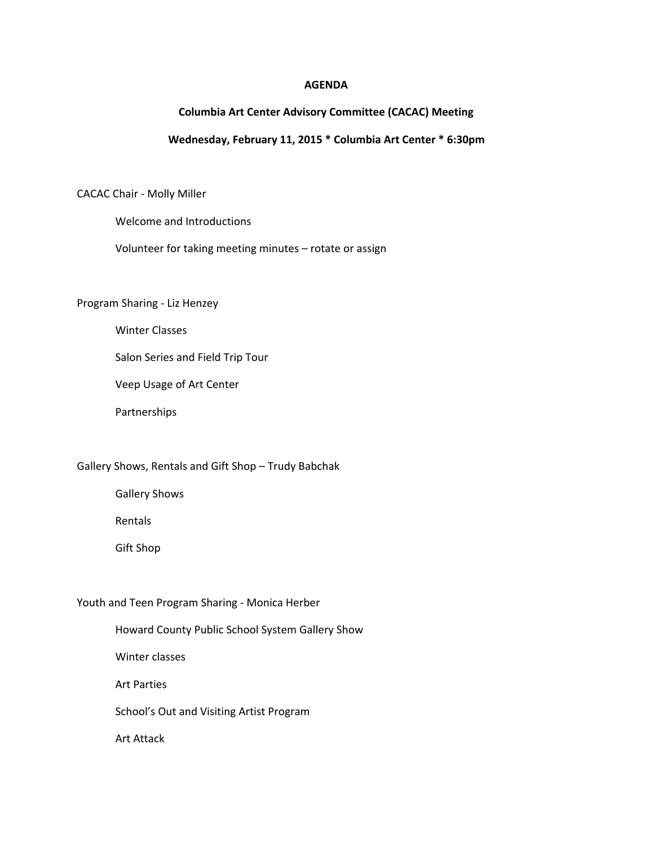#### **AGENDA**

## **Columbia Art Center Advisory Committee (CACAC) Meeting**

### **Wednesday, February 11, 2015 \* Columbia Art Center \* 6:30pm**

CACAC Chair - Molly Miller

Welcome and Introductions

Volunteer for taking meeting minutes – rotate or assign

Program Sharing - Liz Henzey

Winter Classes

Salon Series and Field Trip Tour

Veep Usage of Art Center

Partnerships

Gallery Shows, Rentals and Gift Shop – Trudy Babchak

Gallery Shows

Rentals

Gift Shop

Youth and Teen Program Sharing - Monica Herber

Howard County Public School System Gallery Show

Winter classes

Art Parties

School's Out and Visiting Artist Program

Art Attack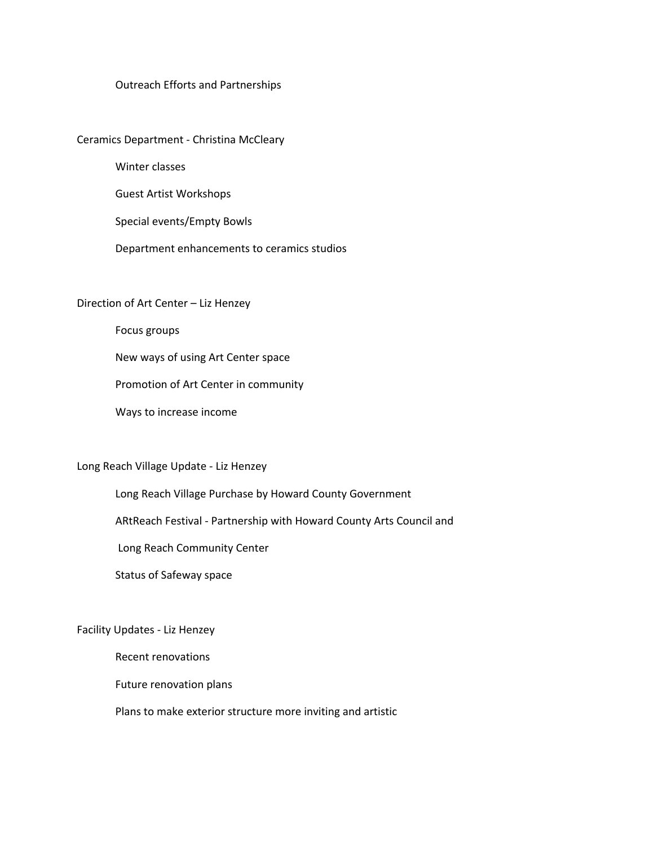### Outreach Efforts and Partnerships

Ceramics Department - Christina McCleary

Winter classes

Guest Artist Workshops

Special events/Empty Bowls

Department enhancements to ceramics studios

# Direction of Art Center – Liz Henzey

Focus groups

New ways of using Art Center space

Promotion of Art Center in community

Ways to increase income

### Long Reach Village Update - Liz Henzey

Long Reach Village Purchase by Howard County Government

ARtReach Festival - Partnership with Howard County Arts Council and

Long Reach Community Center

Status of Safeway space

### Facility Updates - Liz Henzey

Recent renovations

Future renovation plans

Plans to make exterior structure more inviting and artistic